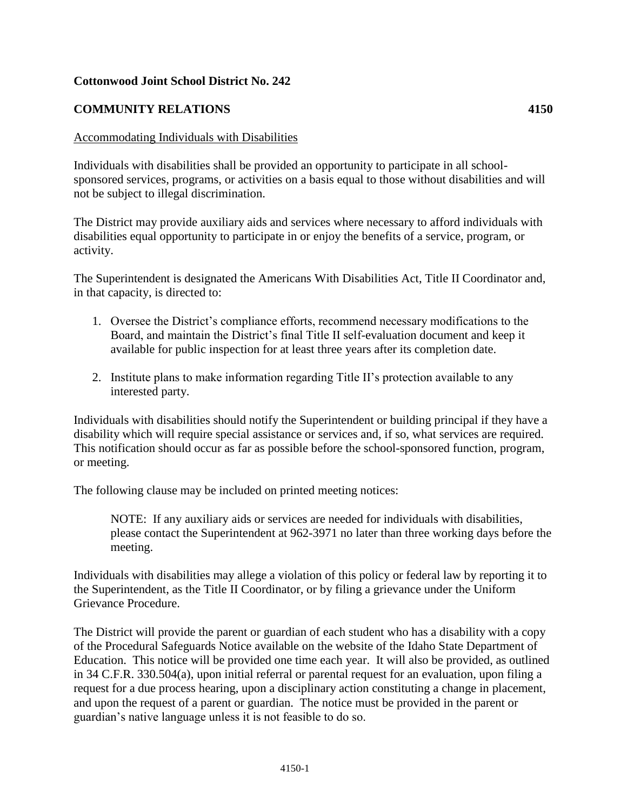## **Cottonwood Joint School District No. 242**

## **COMMUNITY RELATIONS 4150**

## Accommodating Individuals with Disabilities

Individuals with disabilities shall be provided an opportunity to participate in all schoolsponsored services, programs, or activities on a basis equal to those without disabilities and will not be subject to illegal discrimination.

The District may provide auxiliary aids and services where necessary to afford individuals with disabilities equal opportunity to participate in or enjoy the benefits of a service, program, or activity.

The Superintendent is designated the Americans With Disabilities Act, Title II Coordinator and, in that capacity, is directed to:

- 1. Oversee the District's compliance efforts, recommend necessary modifications to the Board, and maintain the District's final Title II self-evaluation document and keep it available for public inspection for at least three years after its completion date.
- 2. Institute plans to make information regarding Title II's protection available to any interested party.

Individuals with disabilities should notify the Superintendent or building principal if they have a disability which will require special assistance or services and, if so, what services are required. This notification should occur as far as possible before the school-sponsored function, program, or meeting.

The following clause may be included on printed meeting notices:

NOTE: If any auxiliary aids or services are needed for individuals with disabilities, please contact the Superintendent at 962-3971 no later than three working days before the meeting.

Individuals with disabilities may allege a violation of this policy or federal law by reporting it to the Superintendent, as the Title II Coordinator, or by filing a grievance under the Uniform Grievance Procedure.

The District will provide the parent or guardian of each student who has a disability with a copy of the Procedural Safeguards Notice available on the website of the Idaho State Department of Education. This notice will be provided one time each year. It will also be provided, as outlined in 34 C.F.R. 330.504(a), upon initial referral or parental request for an evaluation, upon filing a request for a due process hearing, upon a disciplinary action constituting a change in placement, and upon the request of a parent or guardian. The notice must be provided in the parent or guardian's native language unless it is not feasible to do so.